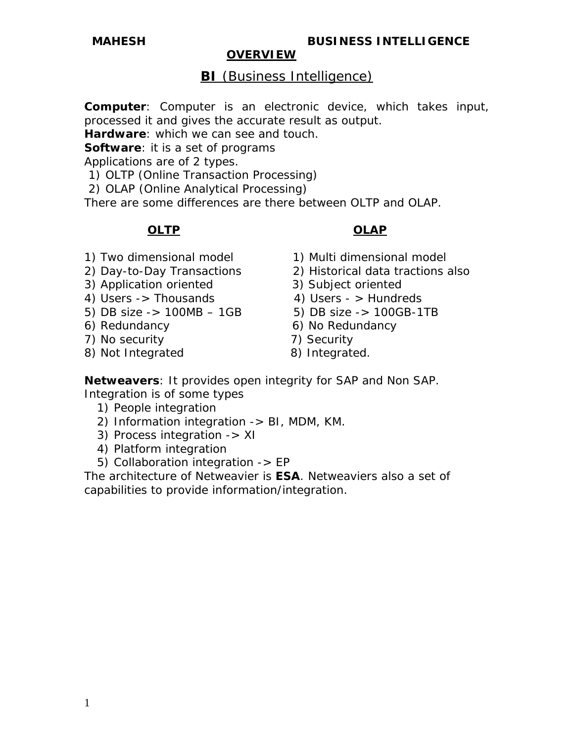# **BI** (Business Intelligence)

**Computer**: Computer is an electronic device, which takes input, processed it and gives the accurate result as output.

**Hardware**: which we can see and touch.

**Software**: it is a set of programs

Applications are of 2 types.

- 1) OLTP (Online Transaction Processing)
- 2) OLAP (Online Analytical Processing)

There are some differences are there between OLTP and OLAP.

# **OLTP** OLAP

- 
- 
- 3) Application oriented 3) Subject oriented
- 4) Users -> Thousands 4) Users -> Hundreds
- 5) DB size  $-$  100MB  $-$  1GB 5) DB size  $-$  100GB-1TB
- 
- 7) No security 7) Security
- 8) Not Integrated 8) Integrated.

1) Two dimensional model 1) Multi dimensional model

- 2) Day-to-Day Transactions 2) Historical data tractions also
	-
	-
	-
- 6) Redundancy 6) No Redundancy
	-
	-

**Netweavers**: It provides open integrity for SAP and Non SAP. Integration is of some types

- 1) People integration
- 2) Information integration -> BI, MDM, KM.
- 3) Process integration -> XI
- 4) Platform integration
- 5) Collaboration integration -> EP

The architecture of Netweavier is **ESA**. Netweaviers also a set of capabilities to provide information/integration.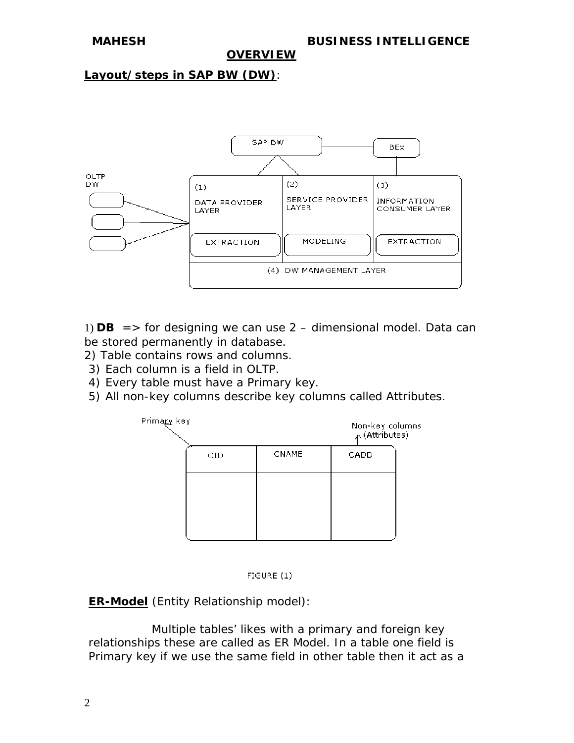#### **Layout/steps in SAP BW (DW)**:



1)  $DB$  = > for designing we can use  $2$  – dimensional model. Data can be stored permanently in database.

- 2) Table contains rows and columns.
- 3) Each column is a field in OLTP.
- 4) Every table must have a Primary key.
- 5) All non-key columns describe key columns called Attributes.





**ER-Model** (Entity Relationship model):

 Multiple tables' likes with a primary and foreign key relationships these are called as ER Model. In a table one field is Primary key if we use the same field in other table then it act as a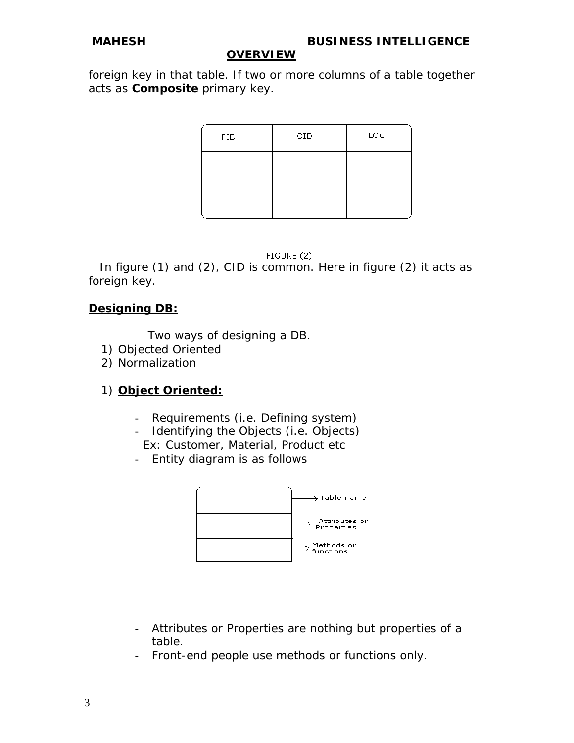foreign key in that table. If two or more columns of a table together acts as **Composite** primary key.

| PID. | CID | LOC. |
|------|-----|------|
|      |     |      |
|      |     |      |
|      |     |      |

#### FIGURE (2)

 In figure (1) and (2), CID is common. Here in figure (2) it acts as foreign key.

## **Designing DB:**

Two ways of designing a DB.

- 1) Objected Oriented
- 2) Normalization

# 1) **Object Oriented:**

- Requirements (i.e. Defining system)
- Identifying the Objects (i.e. Objects) Ex: Customer, Material, Product etc
- Entity diagram is as follows



- Attributes or Properties are nothing but properties of a table.
- Front-end people use methods or functions only.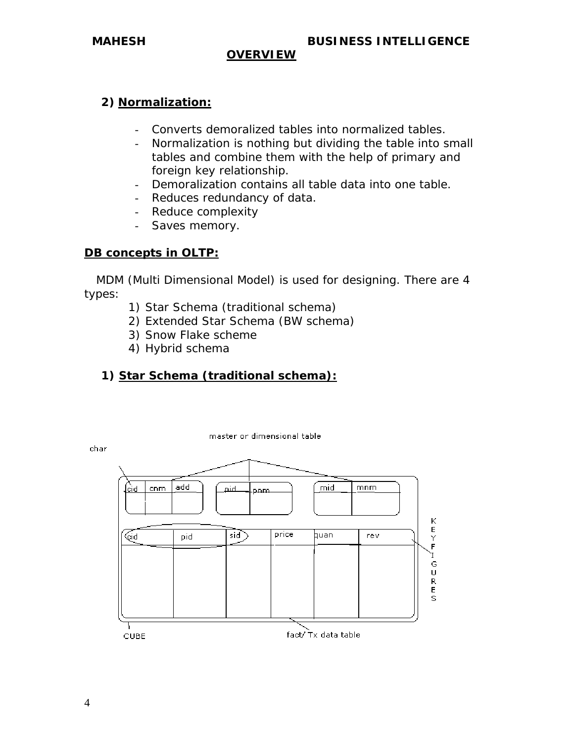# **2) Normalization:**

- Converts demoralized tables into normalized tables.
- Normalization is nothing but dividing the table into small tables and combine them with the help of primary and foreign key relationship.
- Demoralization contains all table data into one table.
- Reduces redundancy of data.
- Reduce complexity
- Saves memory.

#### **DB concepts in OLTP:**

 MDM (Multi Dimensional Model) is used for designing. There are 4 types:

- 1) Star Schema (traditional schema)
- 2) Extended Star Schema (BW schema)
- 3) Snow Flake scheme
- 4) Hybrid schema

# **1) Star Schema (traditional schema):**

master or dimensional table



char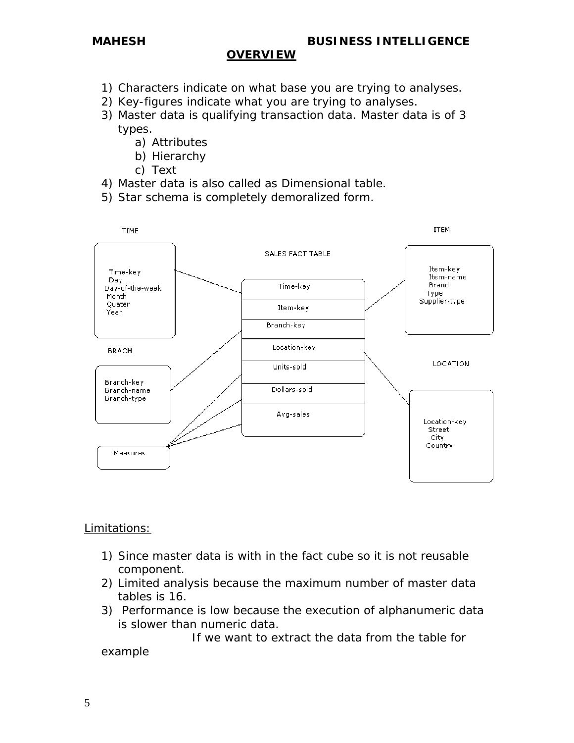- 1) Characters indicate on what base you are trying to analyses.
- 2) Key-figures indicate what you are trying to analyses.
- 3) Master data is qualifying transaction data. Master data is of 3 types.
	- a) Attributes
	- b) Hierarchy
	- c) Text
- 4) Master data is also called as Dimensional table.
- 5) Star schema is completely demoralized form.



#### Limitations:

- 1) Since master data is with in the fact cube so it is not reusable component.
- 2) Limited analysis because the maximum number of master data tables is 16.
- 3) Performance is low because the execution of alphanumeric data is slower than numeric data.

 If we want to extract the data from the table for example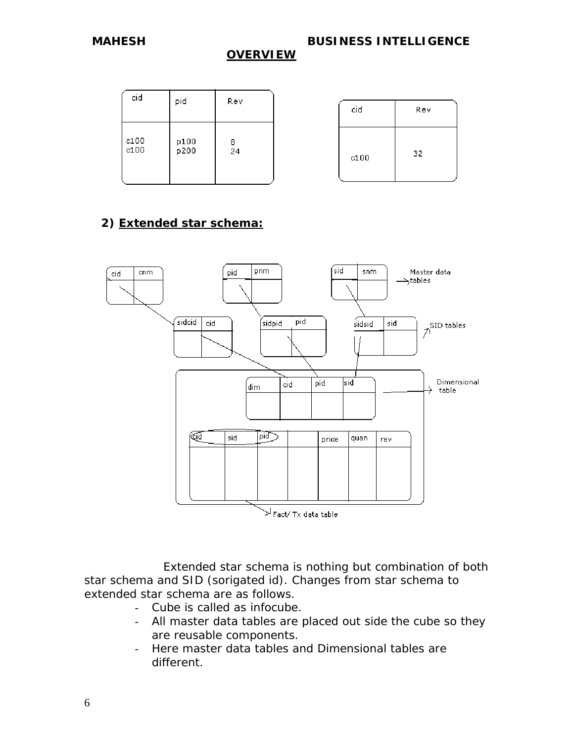*MAHESH BUSINESS INTELLIGENCE* 

#### *OVERVIEW*

| cid          | pid          | Rev          |
|--------------|--------------|--------------|
| c100<br>c100 | p100<br>p200 | 8<br>24<br>٠ |

| cid  | Rev |
|------|-----|
| c100 | 32  |

# **2) Extended star schema:**



 Extended star schema is nothing but combination of both star schema and SID (sorigated id). Changes from star schema to extended star schema are as follows.

- Cube is called as infocube.
- All master data tables are placed out side the cube so they are reusable components.
- Here master data tables and Dimensional tables are different.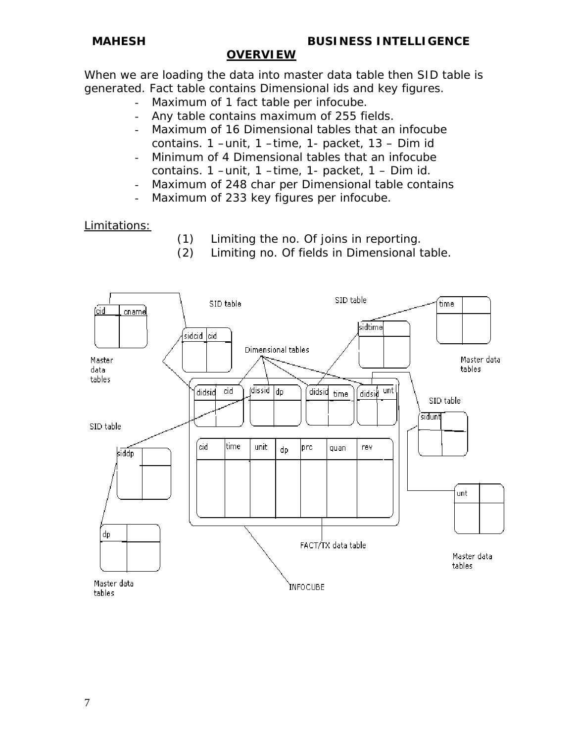When we are loading the data into master data table then SID table is generated. Fact table contains Dimensional ids and key figures.

- Maximum of 1 fact table per infocube.
- Any table contains maximum of 255 fields.
- Maximum of 16 Dimensional tables that an infocube contains. 1 –unit, 1 –time, 1- packet, 13 – Dim id
- Minimum of 4 Dimensional tables that an infocube contains. 1 –unit, 1 –time, 1- packet, 1 – Dim id.
- Maximum of 248 char per Dimensional table contains
- Maximum of 233 key figures per infocube.

#### Limitations:

- (1) Limiting the no. Of joins in reporting.
- (2) Limiting no. Of fields in Dimensional table.

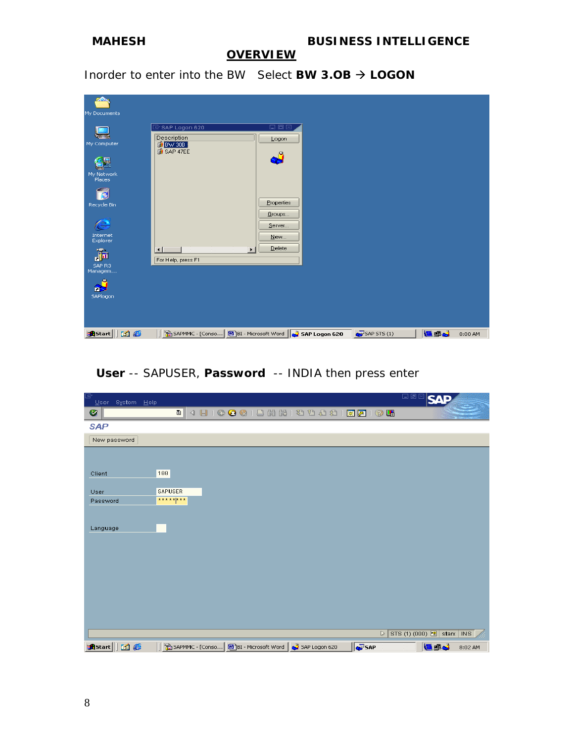

Inorder to enter into the BW Select **BW 3.0B**  $\rightarrow$  **LOGON** 

| My Documents                |                                             |                                 |                   |     |           |
|-----------------------------|---------------------------------------------|---------------------------------|-------------------|-----|-----------|
|                             | $\overline{\boxdot}$ SAP Logon 620          | 日回区                             |                   |     |           |
| My Computer                 | Description<br><b>BW 30B</b><br>SAP 47EE    | Logon                           |                   |     |           |
| nE                          |                                             | لُو                             |                   |     |           |
| My Network<br>Places        |                                             |                                 |                   |     |           |
| ð                           |                                             | Properties                      |                   |     |           |
| Recycle Bin                 |                                             | Groups                          |                   |     |           |
| $\bigoplus$                 |                                             | Server                          |                   |     |           |
| Internet<br>Explorer        |                                             | New                             |                   |     |           |
| $\mathbf{m}$                | $\lvert \cdot \rvert$<br>For Help, press F1 | Delete<br>$\blacktriangleright$ |                   |     |           |
| SAP R3<br>Managem           |                                             |                                 |                   |     |           |
| n-3<br>SAPlogon             |                                             |                                 |                   |     |           |
|                             |                                             |                                 |                   |     |           |
| <b>B</b> Start<br><b>Me</b> |                                             | 5AP Logon 620                   | $S$ SAP STS $(1)$ | udi | $8:00$ AM |

# **User** -- SAPUSER, **Password** -- INDIA then press enter

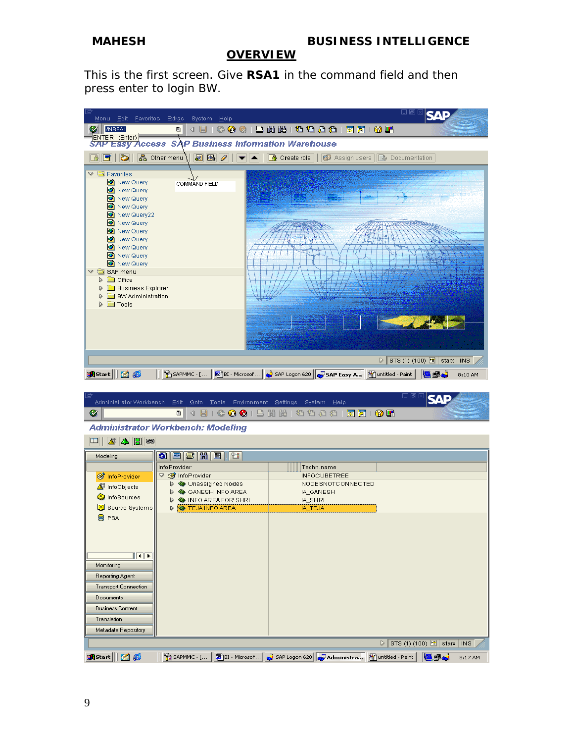#### *MAHESH BUSINESS INTELLIGENCE*

#### *OVERVIEW*

This is the first screen. Give **RSA1** in the command field and then press enter to login BW.

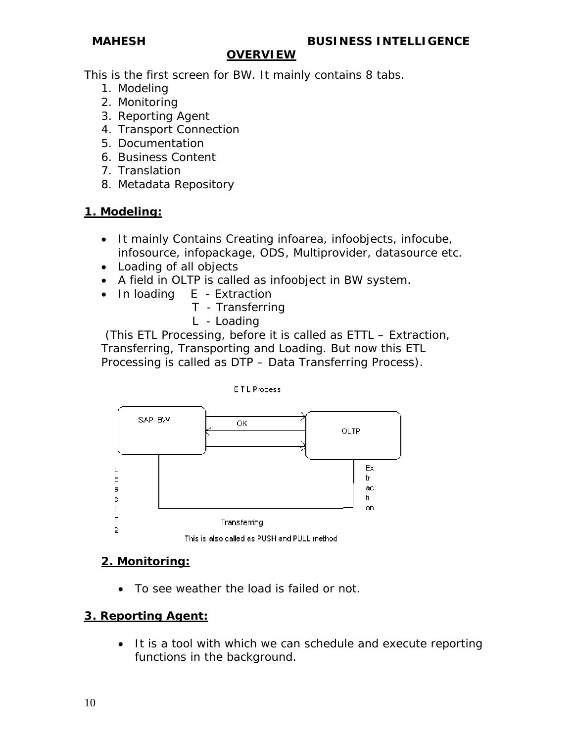This is the first screen for BW. It mainly contains 8 tabs.

- 1. Modeling
- 2. Monitoring
- 3. Reporting Agent
- 4. Transport Connection
- 5. Documentation
- 6. Business Content
- 7. Translation
- 8. Metadata Repository

### **1. Modeling:**

- It mainly Contains Creating infoarea, infoobjects, infocube, infosource, infopackage, ODS, Multiprovider, datasource etc.
- Loading of all objects
- A field in OLTP is called as infoobject in BW system.
- In loading E Extraction
	- T Transferring
	- L Loading

 (This ETL Processing, before it is called as ETTL – Extraction, Transferring, Transporting and Loading. But now this ETL Processing is called as DTP – Data Transferring Process).



# **2. Monitoring:**

• To see weather the load is failed or not.

# **3. Reporting Agent:**

• It is a tool with which we can schedule and execute reporting functions in the background.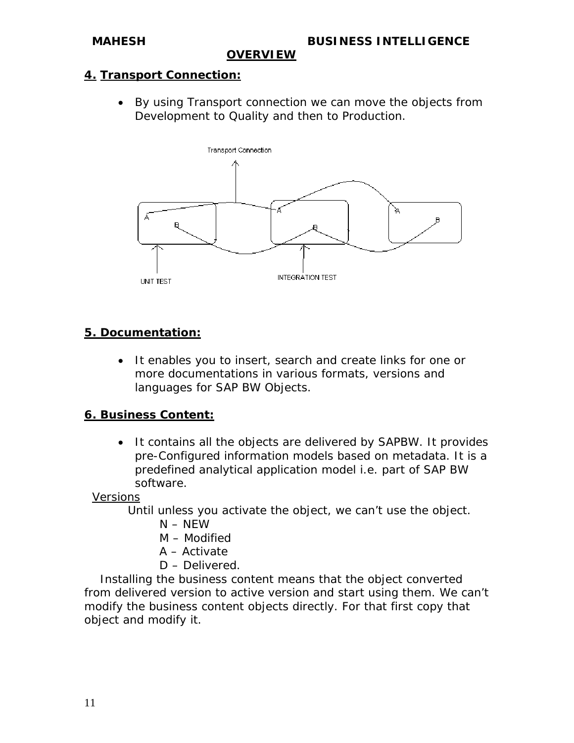## **4. Transport Connection:**

• By using Transport connection we can move the objects from Development to Quality and then to Production.



### **5. Documentation:**

• It enables you to insert, search and create links for one or more documentations in various formats, versions and languages for SAP BW Objects.

### **6. Business Content:**

• It contains all the objects are delivered by SAPBW. It provides pre-Configured information models based on metadata. It is a predefined analytical application model i.e. part of SAP BW software.

Versions

Until unless you activate the object, we can't use the object.

- $N NFW$
- M Modified
- A Activate
- D Delivered.

 Installing the business content means that the object converted from delivered version to active version and start using them. We can't modify the business content objects directly. For that first copy that object and modify it.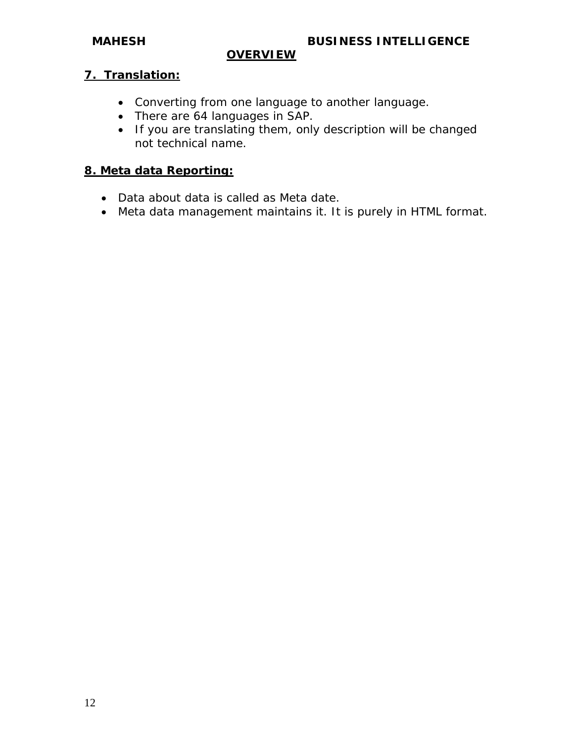## **7. Translation:**

- Converting from one language to another language.
- There are 64 languages in SAP.
- If you are translating them, only description will be changed not technical name.

# **8. Meta data Reporting:**

- Data about data is called as Meta date.
- Meta data management maintains it. It is purely in HTML format.